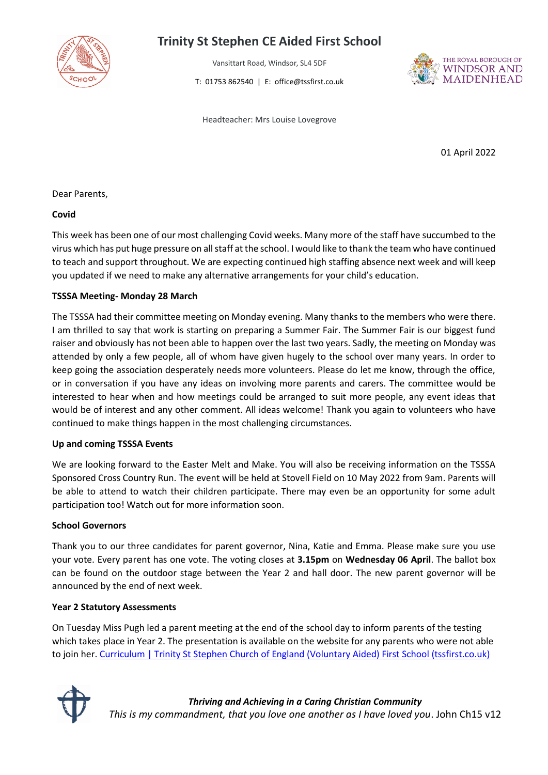

# **Trinity St Stephen CE Aided First School**

Vansittart Road, Windsor, SL4 5DF

T: 01753 862540 | E: office@tssfirst.co.uk



Headteacher: Mrs Louise Lovegrove

01 April 2022

Dear Parents,

### **Covid**

This week has been one of our most challenging Covid weeks. Many more of the staff have succumbed to the virus which has put huge pressure on all staff at the school. I would like to thank the team who have continued to teach and support throughout. We are expecting continued high staffing absence next week and will keep you updated if we need to make any alternative arrangements for your child's education.

## **TSSSA Meeting- Monday 28 March**

The TSSSA had their committee meeting on Monday evening. Many thanks to the members who were there. I am thrilled to say that work is starting on preparing a Summer Fair. The Summer Fair is our biggest fund raiser and obviously has not been able to happen over the last two years. Sadly, the meeting on Monday was attended by only a few people, all of whom have given hugely to the school over many years. In order to keep going the association desperately needs more volunteers. Please do let me know, through the office, or in conversation if you have any ideas on involving more parents and carers. The committee would be interested to hear when and how meetings could be arranged to suit more people, any event ideas that would be of interest and any other comment. All ideas welcome! Thank you again to volunteers who have continued to make things happen in the most challenging circumstances.

#### **Up and coming TSSSA Events**

We are looking forward to the Easter Melt and Make. You will also be receiving information on the TSSSA Sponsored Cross Country Run. The event will be held at Stovell Field on 10 May 2022 from 9am. Parents will be able to attend to watch their children participate. There may even be an opportunity for some adult participation too! Watch out for more information soon.

#### **School Governors**

Thank you to our three candidates for parent governor, Nina, Katie and Emma. Please make sure you use your vote. Every parent has one vote. The voting closes at **3.15pm** on **Wednesday 06 April**. The ballot box can be found on the outdoor stage between the Year 2 and hall door. The new parent governor will be announced by the end of next week.

## **Year 2 Statutory Assessments**

On Tuesday Miss Pugh led a parent meeting at the end of the school day to inform parents of the testing which takes place in Year 2. The presentation is available on the website for any parents who were not able to join her. [Curriculum | Trinity St Stephen Church of England \(Voluntary Aided\) First School \(tssfirst.co.uk\)](https://tssfirst.co.uk/children/year-2/curriculum)